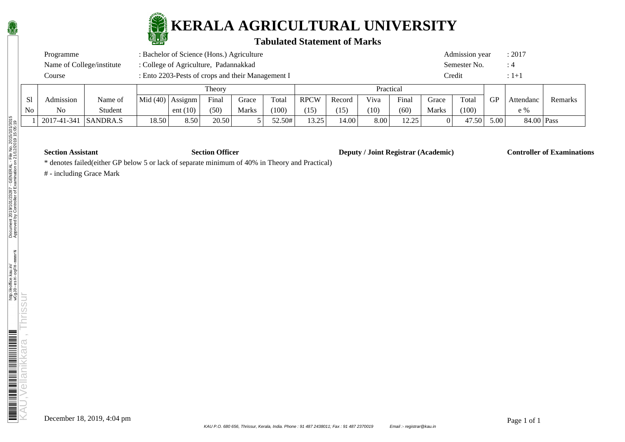

# **KERALA AGRICULTURAL UNIVERSITY**

### **Tabulated Statement of Marks**

| Programme                 | : Bachelor of Science (Hons.) Agriculture         | Admission vear       | : 2017 |
|---------------------------|---------------------------------------------------|----------------------|--------|
| Name of College/institute | : College of Agriculture, Padannakkad             | Semester No.         |        |
| Course                    | : Ento 2203-Pests of crops and their Management I | <b><i>Credit</i></b> |        |

|                |             |                 | Theory           |            |       |       | Practical |             |        |      |                |              |       |                   |            |         |
|----------------|-------------|-----------------|------------------|------------|-------|-------|-----------|-------------|--------|------|----------------|--------------|-------|-------------------|------------|---------|
| S1             | Admission   | Name of         | Mid (40) Assignm |            | Final | Grace | Total     | <b>RPCW</b> | Record | Viva | Final          | Grace        | Total | <b>GP</b>         | Attendanc  | Remarks |
| N <sub>0</sub> | No          | Student         |                  | ent $(10)$ | (50)  | Marks | (100)     | (15)        | (15)   | (10) | (60)           | <b>Marks</b> | (100) |                   | $e \%$     |         |
|                | 2017-41-341 | <i>SANDRA.S</i> | 18.50            | 8.50       | 20.50 |       | 52.50#    | 13 75<br>.  | 14.00  | 8.00 | 12.25<br>⊥∠.∠J |              | 47.50 | 5.00 <sub>1</sub> | 84.00 Pass |         |

**Section Assistant Section Officer Deputy / Joint Registrar (Academic) Controller of Examinations** 

\* denotes failed(either GP below 5 or lack of separate minimum of 40% in Theory and Practical)

# - including Grace Mark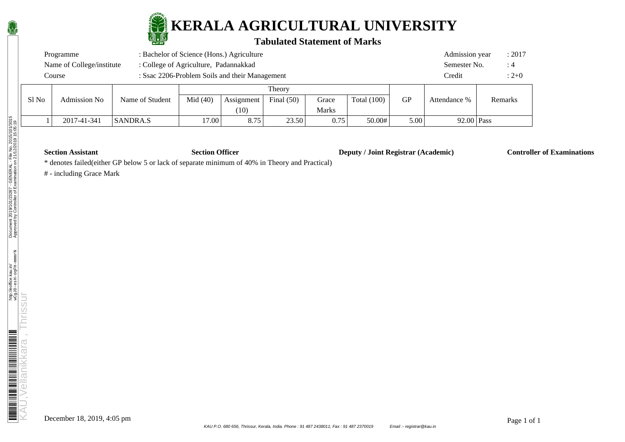

## **KERALA AGRICULTURAL UNIVERSITY**

#### **Tabulated Statement of Marks**

| : Bachelor of Science (Hons.) Agriculture<br>Programme   |                           |                                       |            |            |              |              |               |           | : 2017<br>Admission year |  |         |  |
|----------------------------------------------------------|---------------------------|---------------------------------------|------------|------------|--------------|--------------|---------------|-----------|--------------------------|--|---------|--|
|                                                          | Name of College/institute | : College of Agriculture, Padannakkad |            |            |              |              |               |           | Semester No.             |  | :4      |  |
| : Ssac 2206-Problem Soils and their Management<br>Course |                           |                                       |            |            |              |              |               |           | Credit                   |  | $:2+0$  |  |
|                                                          |                           |                                       |            |            |              |              |               |           |                          |  |         |  |
| S1 No                                                    | Admission No              | Name of Student                       | Mid $(40)$ | Assignment | Final $(50)$ | Grace        | Total $(100)$ | <b>GP</b> | Attendance %             |  | Remarks |  |
|                                                          |                           |                                       |            | (10)       |              | <b>Marks</b> |               |           |                          |  |         |  |

1 2017-41-341 SANDRA.S 17.00 8.75 23.50 0.75 50.00# 5.00 92.00 Pass

**Section Assistant Section Officer Deputy / Joint Registrar (Academic) Controller of Examinations** 

\* denotes failed(either GP below 5 or lack of separate minimum of 40% in Theory and Practical)

# - including Grace Mark